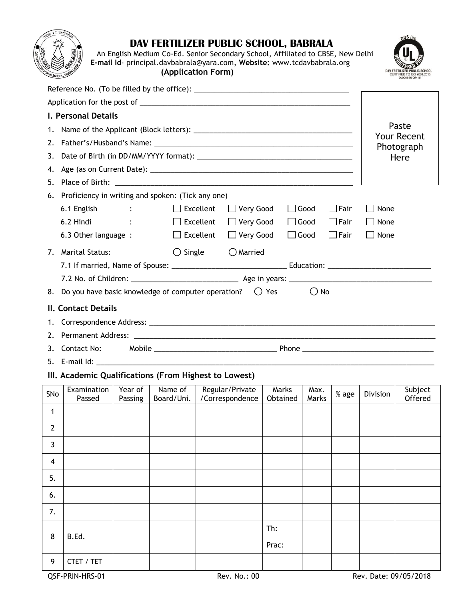

## **DAV FERTILIZER PUBLIC SCHOOL, BABRALA**

 An English Medium Co-Ed. Senior Secondary School, Affiliated to CBSE, New Delhi  **E-mail Id**- principal.davbabrala@yara.com, **Website:** www.tcdavbabrala.org **(Application Form)** 



|                                                       | I. Personal Details                                                                                                                            |                                   |                   |                                 |             |             |             |  |  |  |
|-------------------------------------------------------|------------------------------------------------------------------------------------------------------------------------------------------------|-----------------------------------|-------------------|---------------------------------|-------------|-------------|-------------|--|--|--|
| 1.                                                    |                                                                                                                                                | Paste                             |                   |                                 |             |             |             |  |  |  |
|                                                       | <b>Your Recent</b><br>Photograph                                                                                                               |                                   |                   |                                 |             |             |             |  |  |  |
| 3.                                                    | Here                                                                                                                                           |                                   |                   |                                 |             |             |             |  |  |  |
| 4.                                                    |                                                                                                                                                |                                   |                   |                                 |             |             |             |  |  |  |
| 5.                                                    |                                                                                                                                                |                                   |                   |                                 |             |             |             |  |  |  |
|                                                       | 6. Proficiency in writing and spoken: (Tick any one)                                                                                           |                                   |                   |                                 |             |             |             |  |  |  |
|                                                       | 6.1 English                                                                                                                                    | <b>Contract Contract Contract</b> | $\Box$ Excellent  | □ Very Good                     | $\Box$ Good | $\Box$ Fair | None        |  |  |  |
|                                                       | 6.2 Hindi<br><b>Contract Contract Contract</b>                                                                                                 |                                   | $\Box$ Excellent  | $\Box$ Very Good                | $\Box$ Good | $\Box$ Fair | $\Box$ None |  |  |  |
|                                                       | 6.3 Other language :                                                                                                                           |                                   | $\Box$ Excellent  | $\Box$ Good<br>$\Box$ Very Good |             | $\Box$ Fair | $\Box$ None |  |  |  |
| 7.                                                    | <b>Marital Status:</b>                                                                                                                         |                                   | $\bigcirc$ Single | $\bigcirc$ Married              |             |             |             |  |  |  |
|                                                       |                                                                                                                                                |                                   |                   |                                 |             |             |             |  |  |  |
|                                                       |                                                                                                                                                |                                   |                   |                                 |             |             |             |  |  |  |
|                                                       | 8. Do you have basic knowledge of computer operation? $\bigcirc$ Yes<br>() No                                                                  |                                   |                   |                                 |             |             |             |  |  |  |
|                                                       | <b>II. Contact Details</b>                                                                                                                     |                                   |                   |                                 |             |             |             |  |  |  |
| 1.                                                    |                                                                                                                                                |                                   |                   |                                 |             |             |             |  |  |  |
|                                                       |                                                                                                                                                |                                   |                   |                                 |             |             |             |  |  |  |
|                                                       |                                                                                                                                                |                                   |                   |                                 |             |             |             |  |  |  |
|                                                       | 5. E-mail ld: The contract of the contract of the contract of the contract of the contract of the contract of                                  |                                   |                   |                                 |             |             |             |  |  |  |
| III. Academic Qualifications (From Highest to Lowest) |                                                                                                                                                |                                   |                   |                                 |             |             |             |  |  |  |
|                                                       | $\overline{\phantom{a}}$<br>$\mathbf{r}$ and $\mathbf{r}$ and $\mathbf{r}$ and $\mathbf{r}$ and $\mathbf{r}$ and $\mathbf{r}$ and $\mathbf{r}$ |                                   |                   |                                 |             |             |             |  |  |  |

| SNo                     | Examination<br>Passed | Year of<br>Passing | Name of<br>Board/Uni. | Regular/Private<br>/Correspondence | Marks<br>Obtained | Max.<br>Marks | % age | Division | Subject<br>Offered |
|-------------------------|-----------------------|--------------------|-----------------------|------------------------------------|-------------------|---------------|-------|----------|--------------------|
| 1                       |                       |                    |                       |                                    |                   |               |       |          |                    |
| $\mathbf{2}$            |                       |                    |                       |                                    |                   |               |       |          |                    |
| 3                       |                       |                    |                       |                                    |                   |               |       |          |                    |
| $\overline{\mathbf{4}}$ |                       |                    |                       |                                    |                   |               |       |          |                    |
| 5.                      |                       |                    |                       |                                    |                   |               |       |          |                    |
| 6.                      |                       |                    |                       |                                    |                   |               |       |          |                    |
| 7.                      |                       |                    |                       |                                    |                   |               |       |          |                    |
| 8                       | B.Ed.                 |                    |                       |                                    | Th:               |               |       |          |                    |
|                         |                       |                    |                       |                                    | Prac:             |               |       |          |                    |
| 9                       | CTET / TET            |                    |                       |                                    |                   |               |       |          |                    |